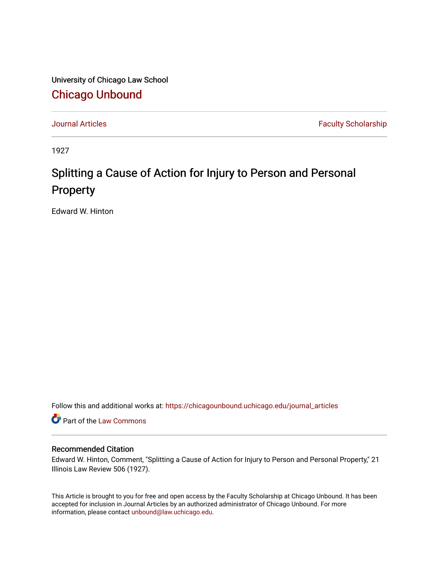University of Chicago Law School [Chicago Unbound](https://chicagounbound.uchicago.edu/)

[Journal Articles](https://chicagounbound.uchicago.edu/journal_articles) **Faculty Scholarship Faculty Scholarship** 

1927

## Splitting a Cause of Action for Injury to Person and Personal Property

Edward W. Hinton

Follow this and additional works at: [https://chicagounbound.uchicago.edu/journal\\_articles](https://chicagounbound.uchicago.edu/journal_articles?utm_source=chicagounbound.uchicago.edu%2Fjournal_articles%2F9393&utm_medium=PDF&utm_campaign=PDFCoverPages) 

Part of the [Law Commons](http://network.bepress.com/hgg/discipline/578?utm_source=chicagounbound.uchicago.edu%2Fjournal_articles%2F9393&utm_medium=PDF&utm_campaign=PDFCoverPages)

## Recommended Citation

Edward W. Hinton, Comment, "Splitting a Cause of Action for Injury to Person and Personal Property," 21 Illinois Law Review 506 (1927).

This Article is brought to you for free and open access by the Faculty Scholarship at Chicago Unbound. It has been accepted for inclusion in Journal Articles by an authorized administrator of Chicago Unbound. For more information, please contact [unbound@law.uchicago.edu](mailto:unbound@law.uchicago.edu).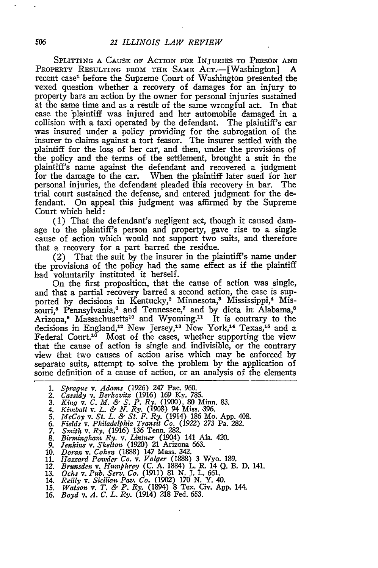SPLITTING A CAUSE OF ACTION FOR INJURIES TO PERSON AND PROPERTY RESULTING FROM THE SAME ACT.-[Washington] A recent case<sup>1</sup> before the Supreme Court of Washington presented the vexed question whether a recovery of damages for an injury to property bars an action by the owner for personal injuries sustained at the same time and as a result of the same wrongful act. In that case the plaintiff was injured and her automobile damaged in a collision with a taxi operated by the defendant. The plaintiff's car was insured under a policy providing for the subrogation of the insurer to claims against a tort feasor. The insurer settled with the plaintiff for the loss of her car, and then, under the provisions of the policy and the terms of the settlement, brought a suit in the plaintiff's name against the defendant and recovered a judgment for the damage to the car. When the plaintiff later sued for her personal injuries, the defendant pleaded this recovery in bar. The trial court sustained the defense, and entered judgment for the defendant. On appeal this judgment was affirmed by the Supreme Court which held:

(1) That the defendant's negligent act, though it caused damage to the plaintiff's person and property, gave rise to a single cause of action which would not support two suits, and therefore that a recovery for a part barred the residue.

(2) That the suit by the insurer in the plaintiff's name under the provisions of the policy had the same effect as if the plaintiff had voluntarily instituted it herself.

On the first proposition, that the cause of action was single, and that a partial recovery barred a second action, the case is supported by decisions in Kentucky,<sup>2</sup> Minnesota,<sup>3</sup> Mississippi,<sup>4</sup> Missouri,<sup>5</sup> Pennsylvania,<sup>6</sup> and Tennessee,<sup>7</sup> and by dicta in Alabama,<sup>8</sup> Arizona,<sup>9</sup> Massachusetts<sup>10</sup> and Wyoming.<sup>11</sup> It is contrary to the decisions in England,<sup>12</sup> New Jersey,<sup>13</sup> New York,<sup>14</sup> Texas,<sup>15</sup> and a Federal Court.<sup>16</sup> Most of the cases, whether supporting the view that the cause of action is single and indivisible, or the contrary view that two causes of action arise which may be enforced by separate suits, attempt to solve the problem by the application of some definition of a cause of action, or an analysis of the elements

- 
- 
- 1. Sprague v. Adams (1926) 247 Pac. 960.<br>2. Cassidy v. Berkovitz (1916) 169 Ky. 785.<br>3. King v. C. M. & S. P. Ry. (1900), 80 Minn. 83.<br>4. Kimball v. L. & N. Ry. (1908) 94 Miss. 396.<br>5. McCoy v. St. L. & St. F. Ry. (1914) 1
- 
- 
- 6. Fields v. Philadelphia Transit Co. (1922) 273 Pa. 282.<br>7. Smith v. Ry. (1916) 136 Tenn. 282.<br>8. Birmingham Ry. v. Lintner (1904) 141 Ala. 420.<br>9. Jenkins v. Skelton (1920) 21 Arizona 663.
- 
- 
- 
- 
- 
- 10. Doran v. Cohen (1888) 147 Mass. 342.<br>11. Hazzard Powder Co. v. Volger (1888) 3 Wyo. 189.<br>12. Brunsden v. Humphrey (C. A. 1884) L. R. 14 Q. B. D. 141<br>13. Ochs v. Pub. Serv. Co. (1911) 81 N. J. L. 661.<br>14. Reilly v. Sici
- 
- 
- 15. *Watson v. T. & P. Ry.* (1894) **8** Tex. Civ. App. 144. 16. *Boyd v. A. C. L. Ry.* (1914) 218 Fed. 653.
-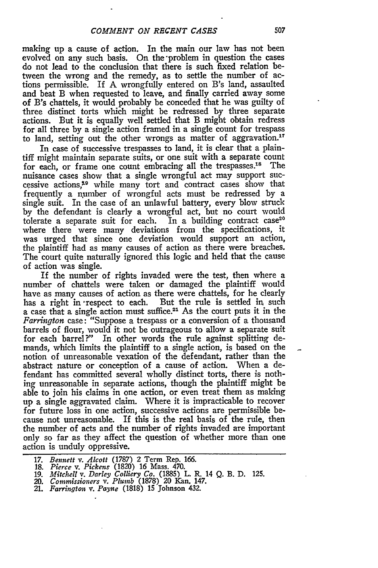making up a cause of action. In the main our law has not been evolved on any such basis. On the-problem in question the cases do not lead to the conclusion that there is such fixed relation between the wrong and the remedy, as to settle the number of actions permissible. If **A** wrongfully entered on B's land, assaulted and beat B when requested to leave, and finally carried away some of B's chattels, it would probably be conceded that he was guilty of three distinct torts which might be redressed **by** three separate actions. But it is equally well settled that B might obtain redress for all three **by** a single action framed in a single count for trespass to land, setting out the other wrongs as matter of aggravation.<sup>17</sup>

In case of successive trespasses to land, it is clear that a plaintiff might maintain separate suits, or one suit with a separate count for each, or frame one count embracing all the trespasses.<sup>18</sup> The nuisance cases show that a single wrongful act may support successive actions,"9 while many tort and contract cases show that frequently a number of wrongful acts must be redressed **by** a single suit. In the case of an unlawful battery, every blow struck **by** the defendant is clearly a wrongful act, but no court would tolerate a separate suit for each. In a building contract case<sup>20</sup> where there were many deviations from the specifications, it was urged that since one deviation would support an action, the plaintiff had as many causes of action as there were breaches. The court quite naturally ignored this logic and held that the cause of action was single.

If the number of rights invaded were the test, then where a number of chattels were taken or damaged the plaintiff would have as many causes of action as there were chattels, for he clearly has a right in 'respect to each. But the rule is settled in such a case that a single action must suffice.<sup>21</sup> As the court puts it in the *Farrington* case: "Suppose a trespass or a conversion of a thousand barrels of flour, would it not be outrageous to allow a separate suit for each barrel?" In other words the rule against splitting demands, which limits the plaintiff to a single action, is based on the notion of unreasonable vexation of the defendant, rather than the abstract nature or conception of a cause of action. When a defendant has committed several wholly distinct torts, there is nothing unreasonable in separate actions, though the plaintiff might be able to join his claims in one action, or even treat them as making up a single aggravated claim. Where it is impracticable to recover for future loss in one action, successive actions are permissible because not unreasonable. If this is the real basis of the rule, then the number of acts and the number of rights invaded are important only so far as they affect the question of whether more than one action is unduly oppressive.

**<sup>17.</sup>** Bennett *v. Alcott* **(1787)** 2 Term Rep. **166.**

**<sup>18.</sup>** *Pierce v. Pickens* (1820) **16** Mass. 470.

**<sup>19.</sup>** *Mitchell v. Darley Colliery Co.* **(1885)** L R. 14 **Q.** B. **D. 125.**

<sup>20.</sup> *Commissioners v. Plumb* **(1878)** 20 Kan. 147. 21. *Farrington v. Payne* **(1818) 15** Johnson 432.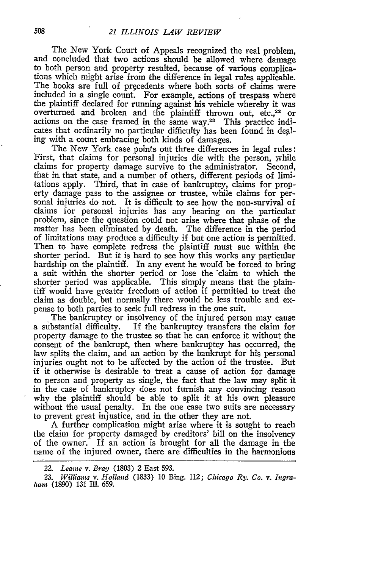The New York Court of Appeals recognized the real problem, and concluded that two actions should be allowed where damage to both person and property resulted, because of various complications which might arise from the difference in legal rules applicable. The books are full of precedents where both sorts of claims were included in a single count. For example, actions of trespass where the plaintiff declared for running against his vehicle whereby it was overturned and broken and the plaintiff thrown out, etc.,<sup>22</sup> or actions on the case framed in the same way.28 This practice indicates that ordinarily no particular difficulty has been found in dealing with a count embracing both kinds of damages.

The New York case points out three differences in legal rules: First, that claims for personal injuries die with the person, while claims for property damage survive to the administrator. Second, that in that state, and a number of others, different periods of limitations apply. Third, that in case of bankruptcy, claims for property damage pass to the assignee or trustee, while claims for personal injuries do not. It is difficult to see how the non-survival of claims for personal injuries has any bearing on the particular problem, since the question could not arise where that phase of the matter has been eliminated **by** death. The difference in the period of limitations may produce a difficulty if but one action is permitted. Then to have complete redress the plaintiff must sue within the shorter period. But it is hard to see how this works any particular hardship on the plaintiff. In any event he would be forced to bring a suit within the shorter period or lose the claim to which the shorter period was applicable. This simply means that the plaintiff would have greater freedom of action if permitted to treat the claim as double, but normally there would be less trouble and expense to both parties to seek full redress in the one suit.

The bankruptcy or insolvency of the injured person may cause a substantial difficulty. If the bankruptcy transfers the claim for property damage to the trustee so that he can enforce it without the consent of the bankrupt, then where bankruptcy has occurred, the law splits the claim, and an action **by** the bankrupt for his personal injuries ought not to be affected **by** the action of the trustee. But if it otherwise is desirable to treat a cause of action for damage to person and property as single, the fact that the law may split it in the case of bankruptcy does not furnish any convincing reason why the plaintiff should be able to split it at his own pleasure without the usual penalty. In the one case two suits are necessary to prevent great injustice, and in the other they are not.

A further complication might arise where it is sought to reach the claim for property damaged **by** creditors' bill on the insolvency of the owner. If an action is brought for all the damage in the name of the injured owner, there are difficulties in the harmonious

**23.** *Williams v. Holland* (1833) 10 Bing. 112; *Chicago Ry. Co. v. Ingraham* (1890) 131 Ill. 659.

508

<sup>22.</sup> *Leame v. Bray* (1803) 2 East 593.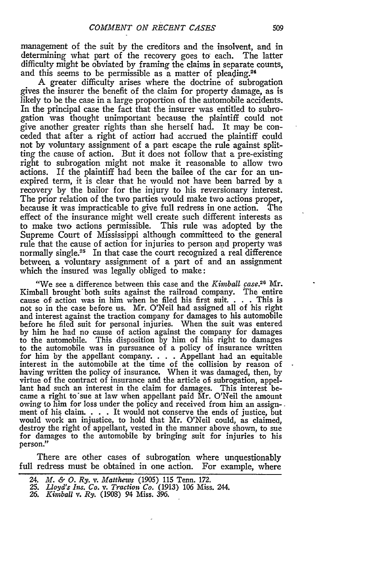management of the suit **by** the creditors and the insolvent, and in determining what part of the recovery goes to each. The latter difficulty might be obviated **by** framing the claims in separate counts, and this seems to be permissible as a matter of pleading.<sup>24</sup>

A greater difficulty arises where the doctrine of subrogation gives the insurer the benefit of the claim for property damage, as is likely to be the case in a large proportion of the automobile accidents. In the principal case the fact that the insurer was entitled to subrogation was thought unimportant because the plaintiff could not give another greater rights than she herself had. It may be conceded that after a right of action had accrued the plaintiff could not **by** voluntary assignment of a part escape the rule against splitting the cause of action. But it does not follow that a pre-existing right to subrogation might not make it reasonable to allow two actions. If the plaintiff had been the bailee of the car for an unexpired term, it is clear that he would not have been barred **by** a recovery **by** the bailor for the injury to his reversionary interest. The prior relation of the two parties would make two actions proper, because it was impracticable to give full redress in one action. The effect of the insurance might well create such different interests as to make two actions permissible. This rule was adopted **by** the Supreme Court of Mississippi although committeed to the general rule that the cause of action for injuries to person and property was normally single.<sup>25</sup> In that case the court recognized a real difference between, a voluntary assignment of a part of and an assignment which the insured was legally obliged to make:

"We see a difference between this case and the *Kimbal case.26 Mr.* Kimball brought'both suits against the railroad company. The entire cause of action was in him when he filed his first suit. . **.** . This is not so in the case before us. Mr. O'Neil had assigned all of his right and interest against the traction company for damages to his automobile before he filed suit for personal injuries. When the suit was entered **by** him he had no cause of action against the company for damages to the automobile. This disposition **by** him of his right to damages to the automobile was in pursuance of a policy of insurance written for him **by** the appellant company. . **.** . Appellant had an equitable interest in the automobile at the time of the collision **by** reason of having written the policy of insurance. When it was damaged, then, **by** virtue of the contract of insurance and the article **of,** subrogation, appel- lant had such an interest in the claim for damages. This interest became a right to'sue at law when appellant paid Mr. O'Neil the amount owing to him for loss under the policy and received from him an assign-. ment of his claim. **. . .** It would not conserve the ends of justice, but would work an injustice, to hold that Mr. O'Neil could, as claimed, destroy the right of appellant, vested in the manner above shown, to sue for damages to the automobile **by** bringing suit for injuries to his person."

There are other cases of subrogation where unquestionably full redress must be obtained in one action. For example, where

- **25.** *Lloyd's Ins. Co. v. Traction Co.* (1913) 106 Miss. 244.
- *26. Kimball v. Ry.* (1908) 94 Miss. 396.

*<sup>24.</sup> M. & 0. Ry. v. Matthews* (1905) 115 Tenn. 172.